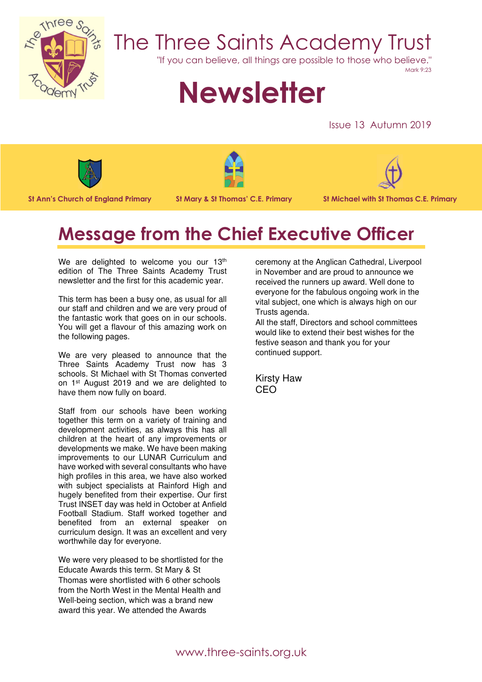

## The Three Saints Academy Trust

"If you can believe, all things are possible to those who believe."

#### Mark 9:23

# **Newsletter**

Issue 13 Autumn 2019



St Ann's Church of England Primary St Mary & St Thomas' C.E. Primary St Michael with St Thomas C.E. Primary





### Message from the Chief Executive Officer

We are delighted to welcome you our 13<sup>th</sup> edition of The Three Saints Academy Trust newsletter and the first for this academic year.

This term has been a busy one, as usual for all our staff and children and we are very proud of the fantastic work that goes on in our schools. You will get a flavour of this amazing work on the following pages.

We are very pleased to announce that the Three Saints Academy Trust now has 3 schools. St Michael with St Thomas converted on 1st August 2019 and we are delighted to have them now fully on board.

Staff from our schools have been working together this term on a variety of training and development activities, as always this has all children at the heart of any improvements or developments we make. We have been making improvements to our LUNAR Curriculum and have worked with several consultants who have high profiles in this area, we have also worked with subject specialists at Rainford High and hugely benefited from their expertise. Our first Trust INSET day was held in October at Anfield Football Stadium. Staff worked together and benefited from an external speaker on curriculum design. It was an excellent and very worthwhile day for everyone.

We were very pleased to be shortlisted for the Educate Awards this term. St Mary & St Thomas were shortlisted with 6 other schools from the North West in the Mental Health and Well-being section, which was a brand new award this year. We attended the Awards

ceremony at the Anglican Cathedral, Liverpool in November and are proud to announce we received the runners up award. Well done to everyone for the fabulous ongoing work in the vital subject, one which is always high on our Trusts agenda.

All the staff, Directors and school committees would like to extend their best wishes for the festive season and thank you for your continued support.

Kirsty Haw CEO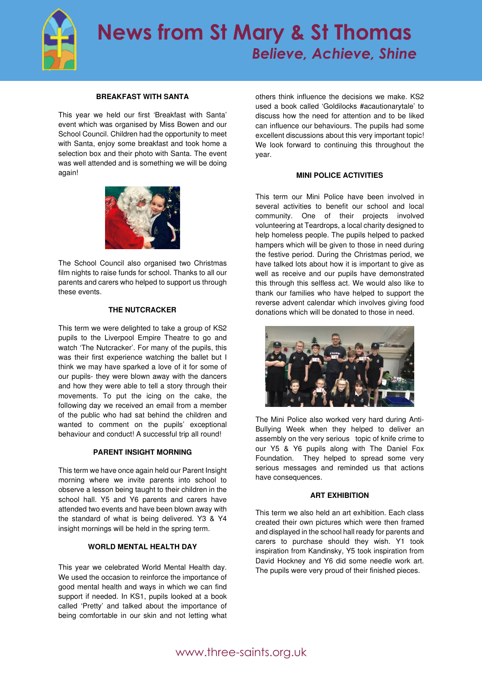

#### **BREAKFAST WITH SANTA**

This year we held our first 'Breakfast with Santa' event which was organised by Miss Bowen and our School Council. Children had the opportunity to meet with Santa, enjoy some breakfast and took home a selection box and their photo with Santa. The event was well attended and is something we will be doing again!



The School Council also organised two Christmas film nights to raise funds for school. Thanks to all our parents and carers who helped to support us through these events.

#### **THE NUTCRACKER**

This term we were delighted to take a group of KS2 pupils to the Liverpool Empire Theatre to go and watch 'The Nutcracker'. For many of the pupils, this was their first experience watching the ballet but I think we may have sparked a love of it for some of our pupils- they were blown away with the dancers and how they were able to tell a story through their movements. To put the icing on the cake, the following day we received an email from a member of the public who had sat behind the children and wanted to comment on the pupils' exceptional behaviour and conduct! A successful trip all round!

#### **PARENT INSIGHT MORNING**

This term we have once again held our Parent Insight morning where we invite parents into school to observe a lesson being taught to their children in the school hall. Y5 and Y6 parents and carers have attended two events and have been blown away with the standard of what is being delivered. Y3 & Y4 insight mornings will be held in the spring term.

#### **WORLD MENTAL HEALTH DAY**

This year we celebrated World Mental Health day. We used the occasion to reinforce the importance of good mental health and ways in which we can find support if needed. In KS1, pupils looked at a book called 'Pretty' and talked about the importance of being comfortable in our skin and not letting what others think influence the decisions we make. KS2 used a book called 'Goldilocks #acautionarytale' to discuss how the need for attention and to be liked can influence our behaviours. The pupils had some excellent discussions about this very important topic! We look forward to continuing this throughout the year.

#### **MINI POLICE ACTIVITIES**

This term our Mini Police have been involved in several activities to benefit our school and local community. One of their projects involved volunteering at Teardrops, a local charity designed to help homeless people. The pupils helped to packed hampers which will be given to those in need during the festive period. During the Christmas period, we have talked lots about how it is important to give as well as receive and our pupils have demonstrated this through this selfless act. We would also like to thank our families who have helped to support the reverse advent calendar which involves giving food donations which will be donated to those in need.



The Mini Police also worked very hard during Anti-Bullying Week when they helped to deliver an assembly on the very serious topic of knife crime to our Y5 & Y6 pupils along with The Daniel Fox Foundation. They helped to spread some very serious messages and reminded us that actions have consequences.

#### **ART EXHIBITION**

This term we also held an art exhibition. Each class created their own pictures which were then framed and displayed in the school hall ready for parents and carers to purchase should they wish. Y1 took inspiration from Kandinsky, Y5 took inspiration from David Hockney and Y6 did some needle work art. The pupils were very proud of their finished pieces.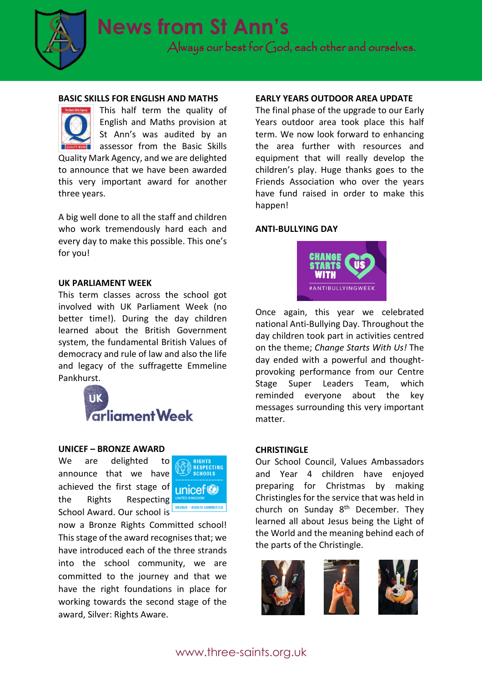

Always our best for God, each other and ourselves.

#### BASIC SKILLS FOR ENGLISH AND MATHS



This half term the quality of English and Maths provision at St Ann's was audited by an assessor from the Basic Skills Quality Mark Agency, and we are delighted to announce that we have been awarded

this very important award for another three years.

A big well done to all the staff and children who work tremendously hard each and every day to make this possible. This one's for you!

#### UK PARLIAMENT WEEK

This term classes across the school got involved with UK Parliament Week (no better time!). During the day children learned about the British Government system, the fundamental British Values of democracy and rule of law and also the life and legacy of the suffragette Emmeline Pankhurst.



#### UNICEF – BRONZE AWARD

We are delighted to announce that we have achieved the first stage of the Rights Respecting School Award. Our school is



now a Bronze Rights Committed school! This stage of the award recognises that; we have introduced each of the three strands into the school community, we are committed to the journey and that we have the right foundations in place for working towards the second stage of the award, Silver: Rights Aware.

#### EARLY YEARS OUTDOOR AREA UPDATE

The final phase of the upgrade to our Early Years outdoor area took place this half term. We now look forward to enhancing the area further with resources and equipment that will really develop the children's play. Huge thanks goes to the Friends Association who over the years have fund raised in order to make this happen!

#### ANTI-BULLYING DAY



Once again, this year we celebrated national Anti-Bullying Day. Throughout the day children took part in activities centred on the theme; Change Starts With Us! The day ended with a powerful and thoughtprovoking performance from our Centre Stage Super Leaders Team, which reminded everyone about the key messages surrounding this very important matter.

#### CHRISTINGLE

Our School Council, Values Ambassadors and Year 4 children have enjoyed preparing for Christmas by making Christingles for the service that was held in church on Sunday 8<sup>th</sup> December. They learned all about Jesus being the Light of the World and the meaning behind each of the parts of the Christingle.